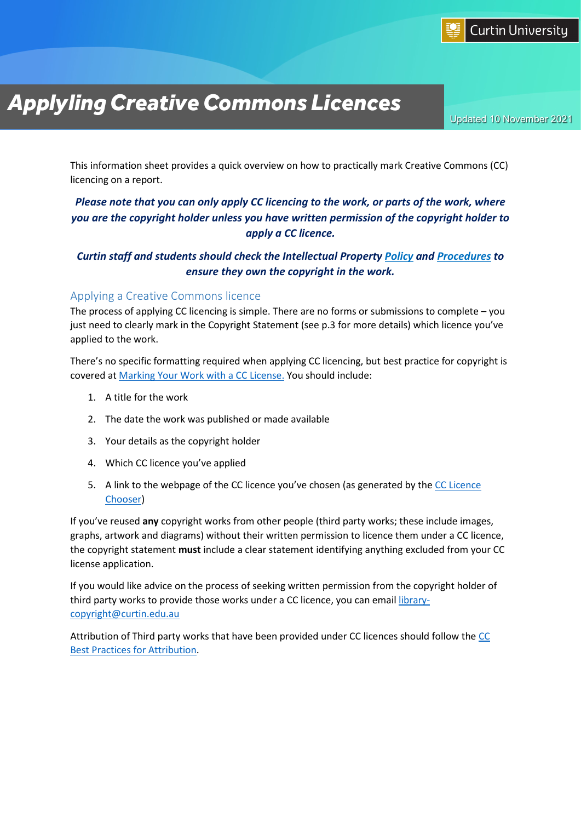

# *ApplylingCreative Commons Licences*

Updated 10 November 2021

This information sheet provides a quick overview on how to practically mark Creative Commons (CC) licencing on a report.

## *Please note that you can only apply CC licencing to the work, or parts of the work, where you are the copyright holder unless you have written permission of the copyright holder to apply a CC licence.*

## *Curtin staff and students should check the Intellectual Property [Policy](https://policies.curtin.edu.au/local/docs/policy/Intellectual_Property_Policy.pdf) and [Procedures](https://policies.curtin.edu.au/local/docs/policy/Intellectual_Property_Procedures.pdf) to ensure they own the copyright in the work.*

#### Applying a Creative Commons licence

The process of applying CC licencing is simple. There are no forms or submissions to complete – you just need to clearly mark in the Copyright Statement (see p.3 for more details) which licence you've applied to the work.

There's no specific formatting required when applying CC licencing, but best practice for copyright is covered at [Marking Your Work with a CC License.](https://wiki.creativecommons.org/wiki/Marking_your_work_with_a_CC_license) You should include:

- 1. A title for the work
- 2. The date the work was published or made available
- 3. Your details as the copyright holder
- 4. Which CC licence you've applied
- 5. A link to the webpage of the CC licence you've chosen (as generated by the CC Licence [Chooser\)](https://creativecommons.org/choose/)

If you've reused **any** copyright works from other people (third party works; these include images, graphs, artwork and diagrams) without their written permission to licence them under a CC licence, the copyright statement **must** include a clear statement identifying anything excluded from your CC license application.

If you would like advice on the process of seeking written permission from the copyright holder of third party works to provide those works under a CC licence, you can emai[l library](mailto:library-copyright@curtin.edu.au)[copyright@curtin.edu.au](mailto:library-copyright@curtin.edu.au)

Attribution of Third party works that have been provided under CC licences should follow the [CC](https://wiki.creativecommons.org/wiki/Best_practices_for_attribution) [Best Practices for Attribution.](https://wiki.creativecommons.org/wiki/Best_practices_for_attribution)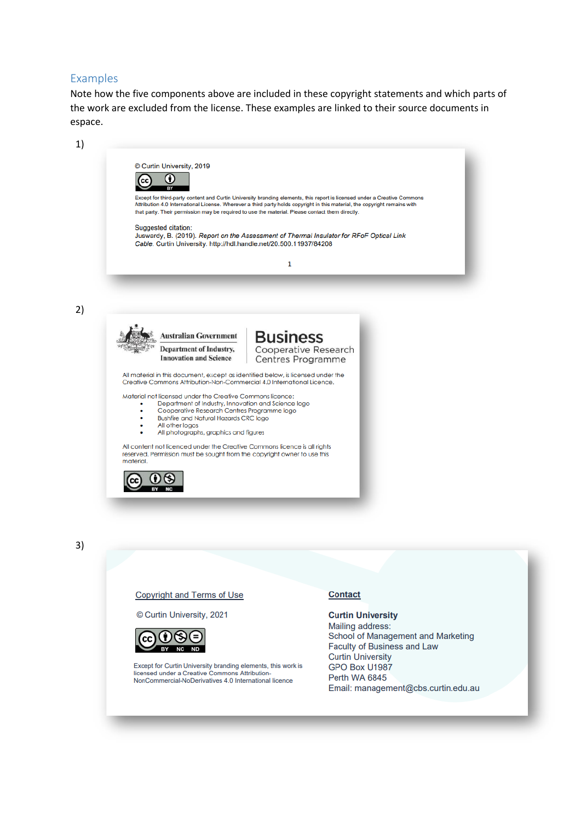#### Examples

Note how the five components above are included in these copyright statements and which parts of the work are excluded from the license. These examples are linked to their source documents in espace.

| 1) |                                                                                                                                                                                                                                                                                                                                                                                                                                                                                                                                                                                                                                                                                                                                                                                           |
|----|-------------------------------------------------------------------------------------------------------------------------------------------------------------------------------------------------------------------------------------------------------------------------------------------------------------------------------------------------------------------------------------------------------------------------------------------------------------------------------------------------------------------------------------------------------------------------------------------------------------------------------------------------------------------------------------------------------------------------------------------------------------------------------------------|
|    | © Curtin University, 2019<br>O<br>Except for third-party content and Curtin University branding elements, this report is licensed under a Creative Commons<br>Attribution 4.0 International License. Wherever a third party holds copyright in this material, the copyright remains with<br>that party. Their permission may be required to use the material. Please contact them directly.<br>Suggested citation:<br>Juswardy, B. (2019). Report on the Assessment of Thermal Insulator for RFoF Optical Link<br>Cable. Curtin University. http://hdl.handle.net/20.500.11937/84208                                                                                                                                                                                                      |
|    | $\mathbf{1}$                                                                                                                                                                                                                                                                                                                                                                                                                                                                                                                                                                                                                                                                                                                                                                              |
| 2) |                                                                                                                                                                                                                                                                                                                                                                                                                                                                                                                                                                                                                                                                                                                                                                                           |
|    | <b>Business</b><br><b>Australian Government</b><br>Cooperative Research<br><b>Department of Industry,</b><br><b>Innovation and Science</b><br><b>Centres Programme</b><br>All material in this document, except as identified below, is licensed under the<br>Creative Commons Attribution-Non-Commercial 4.0 International Licence.<br>Material not licensed under the Creative Commons licence:<br>Department of Industry, Innovation and Science logo<br>Cooperative Research Centres Programme logo<br><b>Bushfire and Natural Hazards CRC logo</b><br>All other logos<br>All photographs, graphics and figures<br>All content not licenced under the Creative Commons licence is all rights<br>reserved. Permission must be sought from the copyright owner to use this<br>material. |
|    |                                                                                                                                                                                                                                                                                                                                                                                                                                                                                                                                                                                                                                                                                                                                                                                           |
| 3) |                                                                                                                                                                                                                                                                                                                                                                                                                                                                                                                                                                                                                                                                                                                                                                                           |
|    | <b>Copyright and Terms of Use</b><br><b>Contact</b>                                                                                                                                                                                                                                                                                                                                                                                                                                                                                                                                                                                                                                                                                                                                       |

© Curtin University, 2021



Except for Curtin University branding elements, this work is<br>licensed under a Creative Commons Attribution-<br>NonCommercial-NoDerivatives 4.0 International licence

**Curtin University** Mailing address: School of Management and Marketing Faculty of Business and Law **Curtin University** GPO Box U1987 Perth WA 6845 Email: management@cbs.curtin.edu.au